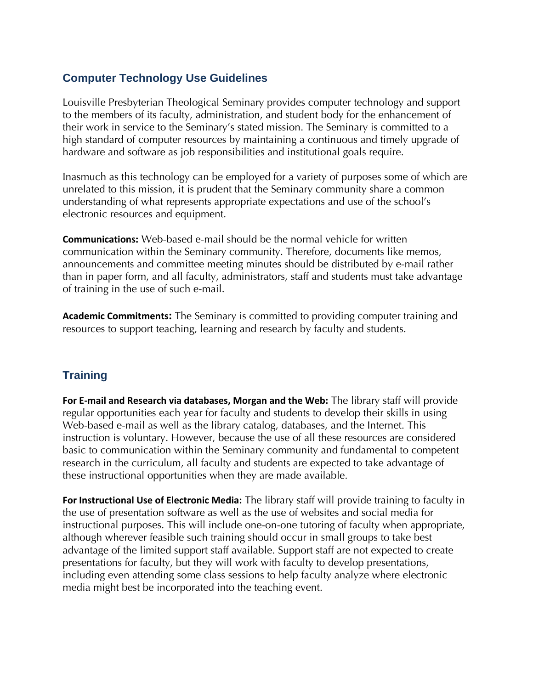## **Computer Technology Use Guidelines**

Louisville Presbyterian Theological Seminary provides computer technology and support to the members of its faculty, administration, and student body for the enhancement of their work in service to the Seminary's stated mission. The Seminary is committed to a high standard of computer resources by maintaining a continuous and timely upgrade of hardware and software as job responsibilities and institutional goals require.

Inasmuch as this technology can be employed for a variety of purposes some of which are unrelated to this mission, it is prudent that the Seminary community share a common understanding of what represents appropriate expectations and use of the school's electronic resources and equipment.

**Communications:** Web-based e-mail should be the normal vehicle for written communication within the Seminary community. Therefore, documents like memos, announcements and committee meeting minutes should be distributed by e-mail rather than in paper form, and all faculty, administrators, staff and students must take advantage of training in the use of such e-mail.

**Academic Commitments:** The Seminary is committed to providing computer training and resources to support teaching, learning and research by faculty and students.

## **Training**

**For E-mail and Research via databases, Morgan and the Web:** The library staff will provide regular opportunities each year for faculty and students to develop their skills in using Web-based e-mail as well as the library catalog, databases, and the Internet. This instruction is voluntary. However, because the use of all these resources are considered basic to communication within the Seminary community and fundamental to competent research in the curriculum, all faculty and students are expected to take advantage of these instructional opportunities when they are made available.

**For Instructional Use of Electronic Media:** The library staff will provide training to faculty in the use of presentation software as well as the use of websites and social media for instructional purposes. This will include one-on-one tutoring of faculty when appropriate, although wherever feasible such training should occur in small groups to take best advantage of the limited support staff available. Support staff are not expected to create presentations for faculty, but they will work with faculty to develop presentations, including even attending some class sessions to help faculty analyze where electronic media might best be incorporated into the teaching event.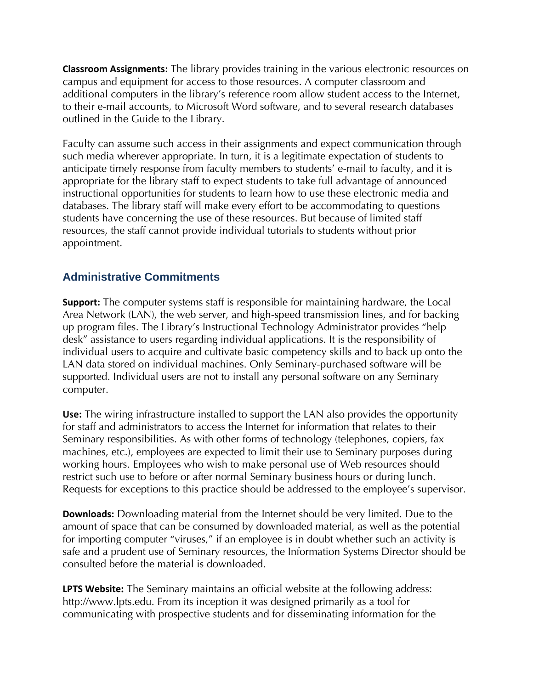**Classroom Assignments:** The library provides training in the various electronic resources on campus and equipment for access to those resources. A computer classroom and additional computers in the library's reference room allow student access to the Internet, to their e-mail accounts, to Microsoft Word software, and to several research databases outlined in the Guide to the Library.

Faculty can assume such access in their assignments and expect communication through such media wherever appropriate. In turn, it is a legitimate expectation of students to anticipate timely response from faculty members to students' e-mail to faculty, and it is appropriate for the library staff to expect students to take full advantage of announced instructional opportunities for students to learn how to use these electronic media and databases. The library staff will make every effort to be accommodating to questions students have concerning the use of these resources. But because of limited staff resources, the staff cannot provide individual tutorials to students without prior appointment.

## **Administrative Commitments**

**Support:** The computer systems staff is responsible for maintaining hardware, the Local Area Network (LAN), the web server, and high-speed transmission lines, and for backing up program files. The Library's Instructional Technology Administrator provides "help desk" assistance to users regarding individual applications. It is the responsibility of individual users to acquire and cultivate basic competency skills and to back up onto the LAN data stored on individual machines. Only Seminary-purchased software will be supported. Individual users are not to install any personal software on any Seminary computer.

**Use:** The wiring infrastructure installed to support the LAN also provides the opportunity for staff and administrators to access the Internet for information that relates to their Seminary responsibilities. As with other forms of technology (telephones, copiers, fax machines, etc.), employees are expected to limit their use to Seminary purposes during working hours. Employees who wish to make personal use of Web resources should restrict such use to before or after normal Seminary business hours or during lunch. Requests for exceptions to this practice should be addressed to the employee's supervisor.

**Downloads:** Downloading material from the Internet should be very limited. Due to the amount of space that can be consumed by downloaded material, as well as the potential for importing computer "viruses," if an employee is in doubt whether such an activity is safe and a prudent use of Seminary resources, the Information Systems Director should be consulted before the material is downloaded.

**LPTS Website:** The Seminary maintains an official website at the following address: http://www.lpts.edu. From its inception it was designed primarily as a tool for communicating with prospective students and for disseminating information for the